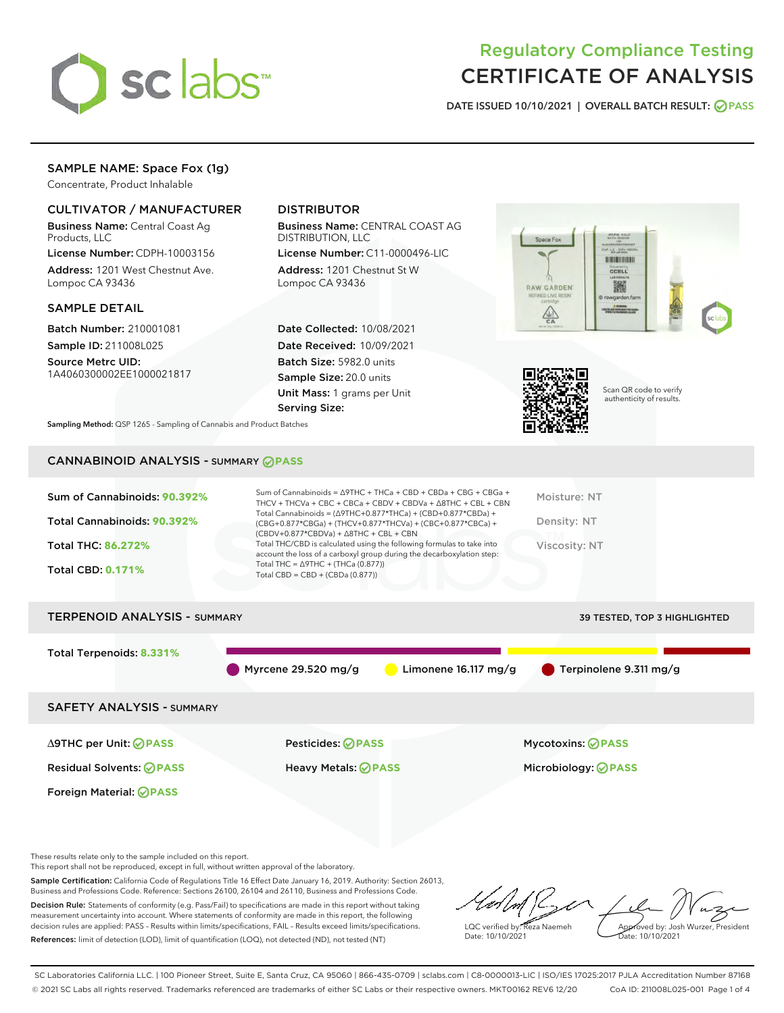

# Regulatory Compliance Testing CERTIFICATE OF ANALYSIS

DATE ISSUED 10/10/2021 | OVERALL BATCH RESULT: @ PASS

### SAMPLE NAME: Space Fox (1g)

Concentrate, Product Inhalable

### CULTIVATOR / MANUFACTURER

Business Name: Central Coast Ag Products, LLC

License Number: CDPH-10003156 Address: 1201 West Chestnut Ave. Lompoc CA 93436

#### SAMPLE DETAIL

Batch Number: 210001081 Sample ID: 211008L025

Source Metrc UID: 1A4060300002EE1000021817

### DISTRIBUTOR

Business Name: CENTRAL COAST AG DISTRIBUTION, LLC

License Number: C11-0000496-LIC Address: 1201 Chestnut St W Lompoc CA 93436

Date Collected: 10/08/2021 Date Received: 10/09/2021 Batch Size: 5982.0 units Sample Size: 20.0 units Unit Mass: 1 grams per Unit Serving Size:





Scan QR code to verify authenticity of results.

Sampling Method: QSP 1265 - Sampling of Cannabis and Product Batches

## CANNABINOID ANALYSIS - SUMMARY **PASS**

| Sum of Cannabinoids: 90.392%<br>Total Cannabinoids: 90.392%<br>Total THC: 86.272%<br><b>Total CBD: 0.171%</b> | Sum of Cannabinoids = $\triangle$ 9THC + THCa + CBD + CBDa + CBG + CBGa +<br>THCV + THCVa + CBC + CBCa + CBDV + CBDVa + A8THC + CBL + CBN<br>Total Cannabinoids = $(\Delta$ 9THC+0.877*THCa) + (CBD+0.877*CBDa) +<br>(CBG+0.877*CBGa) + (THCV+0.877*THCVa) + (CBC+0.877*CBCa) +<br>$(CBDV+0.877*CBDVa) + \Delta 8THC + CBL + CBN$<br>Total THC/CBD is calculated using the following formulas to take into<br>account the loss of a carboxyl group during the decarboxylation step:<br>Total THC = $\triangle$ 9THC + (THCa (0.877))<br>Total CBD = CBD + (CBDa (0.877)) | Moisture: NT<br>Density: NT<br>Viscosity: NT           |
|---------------------------------------------------------------------------------------------------------------|--------------------------------------------------------------------------------------------------------------------------------------------------------------------------------------------------------------------------------------------------------------------------------------------------------------------------------------------------------------------------------------------------------------------------------------------------------------------------------------------------------------------------------------------------------------------------|--------------------------------------------------------|
| <b>TERPENOID ANALYSIS - SUMMARY</b>                                                                           |                                                                                                                                                                                                                                                                                                                                                                                                                                                                                                                                                                          | 39 TESTED, TOP 3 HIGHLIGHTED                           |
| Total Terpenoids: 8.331%                                                                                      | Myrcene 29.520 mg/g<br>Limonene $16.117 \text{ mg/g}$                                                                                                                                                                                                                                                                                                                                                                                                                                                                                                                    | Terpinolene 9.311 mg/g                                 |
| <b>SAFETY ANALYSIS - SUMMARY</b>                                                                              |                                                                                                                                                                                                                                                                                                                                                                                                                                                                                                                                                                          |                                                        |
| $\triangle$ 9THC per Unit: $\bigcirc$ PASS<br><b>Residual Solvents: ⊘PASS</b>                                 | Pesticides: ⊘PASS<br>Heavy Metals: ⊘PASS                                                                                                                                                                                                                                                                                                                                                                                                                                                                                                                                 | <b>Mycotoxins: ⊘PASS</b><br>Microbiology: <b>⊘PASS</b> |

Foreign Material: **PASS**

These results relate only to the sample included on this report. This report shall not be reproduced, except in full, without written approval of the laboratory.

Sample Certification: California Code of Regulations Title 16 Effect Date January 16, 2019. Authority: Section 26013, Business and Professions Code. Reference: Sections 26100, 26104 and 26110, Business and Professions Code. Decision Rule: Statements of conformity (e.g. Pass/Fail) to specifications are made in this report without taking

measurement uncertainty into account. Where statements of conformity are made in this report, the following decision rules are applied: PASS – Results within limits/specifications, FAIL – Results exceed limits/specifications. References: limit of detection (LOD), limit of quantification (LOQ), not detected (ND), not tested (NT)

 $n \mu$ Approved by: Josh Wurzer, President LQC verified by: Reza Naemeh Date: 10/10/2021 Date: 10/10/2021

SC Laboratories California LLC. | 100 Pioneer Street, Suite E, Santa Cruz, CA 95060 | 866-435-0709 | sclabs.com | C8-0000013-LIC | ISO/IES 17025:2017 PJLA Accreditation Number 87168 © 2021 SC Labs all rights reserved. Trademarks referenced are trademarks of either SC Labs or their respective owners. MKT00162 REV6 12/20 CoA ID: 211008L025-001 Page 1 of 4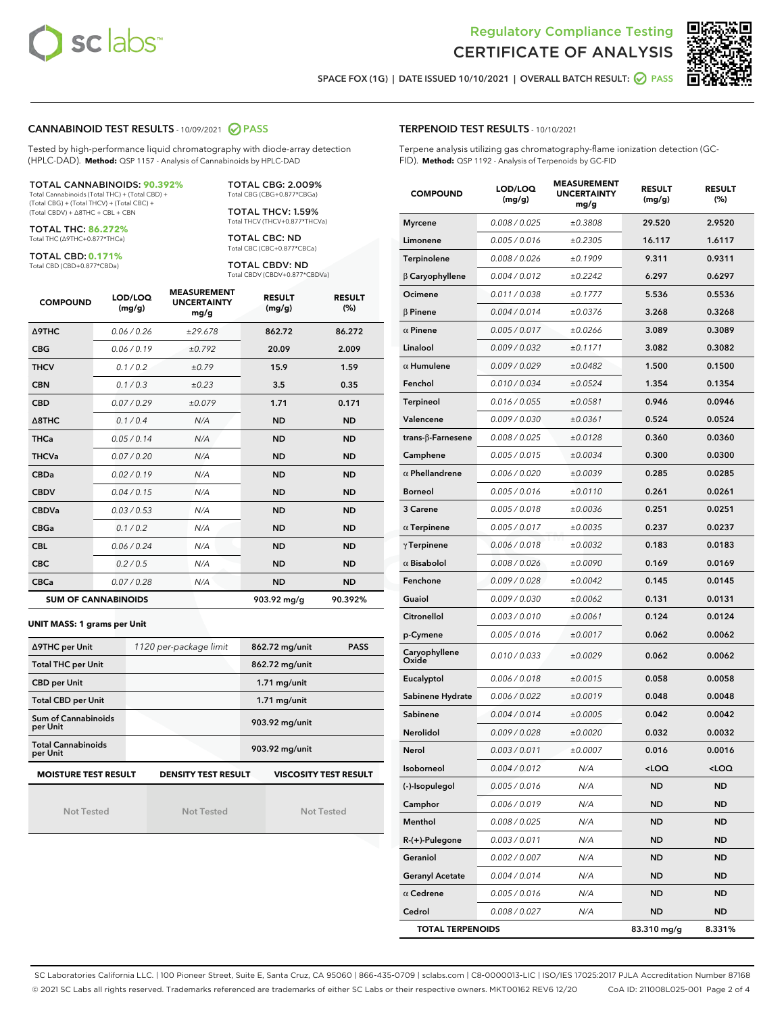



SPACE FOX (1G) | DATE ISSUED 10/10/2021 | OVERALL BATCH RESULT:  $\bigcirc$  PASS

#### CANNABINOID TEST RESULTS - 10/09/2021 2 PASS

Tested by high-performance liquid chromatography with diode-array detection (HPLC-DAD). **Method:** QSP 1157 - Analysis of Cannabinoids by HPLC-DAD

#### TOTAL CANNABINOIDS: **90.392%**

Total Cannabinoids (Total THC) + (Total CBD) + (Total CBG) + (Total THCV) + (Total CBC) + (Total CBDV) + ∆8THC + CBL + CBN

TOTAL THC: **86.272%** Total THC (∆9THC+0.877\*THCa)

TOTAL CBD: **0.171%**

Total CBD (CBD+0.877\*CBDa)

TOTAL CBG: 2.009% Total CBG (CBG+0.877\*CBGa)

TOTAL THCV: 1.59% Total THCV (THCV+0.877\*THCVa)

TOTAL CBC: ND Total CBC (CBC+0.877\*CBCa)

TOTAL CBDV: ND Total CBDV (CBDV+0.877\*CBDVa)

| <b>COMPOUND</b>  | LOD/LOQ<br>(mg/g)          | <b>MEASUREMENT</b><br><b>UNCERTAINTY</b><br>mg/g | <b>RESULT</b><br>(mg/g) | <b>RESULT</b><br>(%) |
|------------------|----------------------------|--------------------------------------------------|-------------------------|----------------------|
| <b>A9THC</b>     | 0.06 / 0.26                | ±29.678                                          | 862.72                  | 86.272               |
| <b>CBG</b>       | 0.06/0.19                  | ±0.792                                           | 20.09                   | 2.009                |
| <b>THCV</b>      | 0.1 / 0.2                  | ±0.79                                            | 15.9                    | 1.59                 |
| <b>CBN</b>       | 0.1/0.3                    | $\pm 0.23$                                       | 3.5                     | 0.35                 |
| <b>CBD</b>       | 0.07/0.29                  | ±0.079                                           | 1.71                    | 0.171                |
| $\triangle$ 8THC | 0.1 / 0.4                  | N/A                                              | <b>ND</b>               | <b>ND</b>            |
| THCa             | 0.05/0.14                  | N/A                                              | <b>ND</b>               | <b>ND</b>            |
| <b>THCVa</b>     | 0.07/0.20                  | N/A                                              | <b>ND</b>               | <b>ND</b>            |
| <b>CBDa</b>      | 0.02/0.19                  | N/A                                              | <b>ND</b>               | <b>ND</b>            |
| <b>CBDV</b>      | 0.04/0.15                  | N/A                                              | <b>ND</b>               | <b>ND</b>            |
| <b>CBDVa</b>     | 0.03/0.53                  | N/A                                              | <b>ND</b>               | <b>ND</b>            |
| <b>CBGa</b>      | 0.1/0.2                    | N/A                                              | <b>ND</b>               | <b>ND</b>            |
| <b>CBL</b>       | 0.06 / 0.24                | N/A                                              | <b>ND</b>               | <b>ND</b>            |
| <b>CBC</b>       | 0.2 / 0.5                  | N/A                                              | <b>ND</b>               | <b>ND</b>            |
| <b>CBCa</b>      | 0.07/0.28                  | N/A                                              | <b>ND</b>               | <b>ND</b>            |
|                  | <b>SUM OF CANNABINOIDS</b> |                                                  | 903.92 mg/g             | 90.392%              |

#### **UNIT MASS: 1 grams per Unit**

| ∆9THC per Unit                        | 1120 per-package limit     | 862.72 mg/unit<br><b>PASS</b> |
|---------------------------------------|----------------------------|-------------------------------|
| <b>Total THC per Unit</b>             |                            | 862.72 mg/unit                |
| <b>CBD per Unit</b>                   |                            | $1.71$ mg/unit                |
| <b>Total CBD per Unit</b>             |                            | $1.71$ mg/unit                |
| Sum of Cannabinoids<br>per Unit       |                            | 903.92 mg/unit                |
| <b>Total Cannabinoids</b><br>per Unit |                            | 903.92 mg/unit                |
| <b>MOISTURE TEST RESULT</b>           | <b>DENSITY TEST RESULT</b> | <b>VISCOSITY TEST RESULT</b>  |

Not Tested

Not Tested

Not Tested

TERPENOID TEST RESULTS - 10/10/2021

Terpene analysis utilizing gas chromatography-flame ionization detection (GC-FID). **Method:** QSP 1192 - Analysis of Terpenoids by GC-FID

| <b>COMPOUND</b>         | LOD/LOQ<br>(mg/g) | <b>MEASUREMENT</b><br><b>UNCERTAINTY</b><br>mg/g | <b>RESULT</b><br>(mg/g) | <b>RESULT</b><br>(%) |
|-------------------------|-------------------|--------------------------------------------------|-------------------------|----------------------|
| <b>Myrcene</b>          | 0.008 / 0.025     | ±0.3808                                          | 29.520                  | 2.9520               |
| Limonene                | 0.005 / 0.016     | ±0.2305                                          | 16.117                  | 1.6117               |
| <b>Terpinolene</b>      | 0.008 / 0.026     | ±0.1909                                          | 9.311                   | 0.9311               |
| $\beta$ Caryophyllene   | 0.004 / 0.012     | ±0.2242                                          | 6.297                   | 0.6297               |
| Ocimene                 | 0.011 / 0.038     | ±0.1777                                          | 5.536                   | 0.5536               |
| <b>B</b> Pinene         | 0.004 / 0.014     | ±0.0376                                          | 3.268                   | 0.3268               |
| $\alpha$ Pinene         | 0.005 / 0.017     | ±0.0266                                          | 3.089                   | 0.3089               |
| Linalool                | 0.009 / 0.032     | ±0.1171                                          | 3.082                   | 0.3082               |
| $\alpha$ Humulene       | 0.009/0.029       | ±0.0482                                          | 1.500                   | 0.1500               |
| Fenchol                 | 0.010 / 0.034     | ±0.0524                                          | 1.354                   | 0.1354               |
| Terpineol               | 0.016 / 0.055     | ±0.0581                                          | 0.946                   | 0.0946               |
| Valencene               | 0.009 / 0.030     | ±0.0361                                          | 0.524                   | 0.0524               |
| trans-β-Farnesene       | 0.008 / 0.025     | ±0.0128                                          | 0.360                   | 0.0360               |
| Camphene                | 0.005 / 0.015     | ±0.0034                                          | 0.300                   | 0.0300               |
| $\alpha$ Phellandrene   | 0.006 / 0.020     | ±0.0039                                          | 0.285                   | 0.0285               |
| <b>Borneol</b>          | 0.005 / 0.016     | ±0.0110                                          | 0.261                   | 0.0261               |
| 3 Carene                | 0.005 / 0.018     | ±0.0036                                          | 0.251                   | 0.0251               |
| $\alpha$ Terpinene      | 0.005 / 0.017     | ±0.0035                                          | 0.237                   | 0.0237               |
| $\gamma$ Terpinene      | 0.006 / 0.018     | ±0.0032                                          | 0.183                   | 0.0183               |
| $\alpha$ Bisabolol      | 0.008 / 0.026     | ±0.0090                                          | 0.169                   | 0.0169               |
| Fenchone                | 0.009 / 0.028     | ±0.0042                                          | 0.145                   | 0.0145               |
| Guaiol                  | 0.009 / 0.030     | ±0.0062                                          | 0.131                   | 0.0131               |
| Citronellol             | 0.003 / 0.010     | ±0.0061                                          | 0.124                   | 0.0124               |
| p-Cymene                | 0.005 / 0.016     | ±0.0017                                          | 0.062                   | 0.0062               |
| Caryophyllene<br>Oxide  | 0.010 / 0.033     | ±0.0029                                          | 0.062                   | 0.0062               |
| Eucalyptol              | 0.006 / 0.018     | ±0.0015                                          | 0.058                   | 0.0058               |
| Sabinene Hydrate        | 0.006 / 0.022     | ±0.0019                                          | 0.048                   | 0.0048               |
| Sabinene                | 0.004 / 0.014     | ±0.0005                                          | 0.042                   | 0.0042               |
| Nerolidol               | 0.009 / 0.028     | ±0.0020                                          | 0.032                   | 0.0032               |
| Nerol                   | 0.003 / 0.011     | ±0.0007                                          | 0.016                   | 0.0016               |
| Isoborneol              | 0.004 / 0.012     | N/A                                              | 100                     | $<$ LOQ              |
| (-)-Isopulegol          | 0.005 / 0.016     | N/A                                              | ND                      | ND                   |
| Camphor                 | 0.006 / 0.019     | N/A                                              | ND                      | <b>ND</b>            |
| Menthol                 | 0.008 / 0.025     | N/A                                              | ND                      | <b>ND</b>            |
| R-(+)-Pulegone          | 0.003 / 0.011     | N/A                                              | ND                      | ND                   |
| Geraniol                | 0.002 / 0.007     | N/A                                              | ND                      | ND                   |
| <b>Geranyl Acetate</b>  | 0.004 / 0.014     | N/A                                              | ND                      | <b>ND</b>            |
| $\alpha$ Cedrene        | 0.005 / 0.016     | N/A                                              | ND                      | ND                   |
| Cedrol                  | 0.008 / 0.027     | N/A                                              | <b>ND</b>               | ND                   |
| <b>TOTAL TERPENOIDS</b> |                   |                                                  | 83.310 mg/g             | 8.331%               |

SC Laboratories California LLC. | 100 Pioneer Street, Suite E, Santa Cruz, CA 95060 | 866-435-0709 | sclabs.com | C8-0000013-LIC | ISO/IES 17025:2017 PJLA Accreditation Number 87168 © 2021 SC Labs all rights reserved. Trademarks referenced are trademarks of either SC Labs or their respective owners. MKT00162 REV6 12/20 CoA ID: 211008L025-001 Page 2 of 4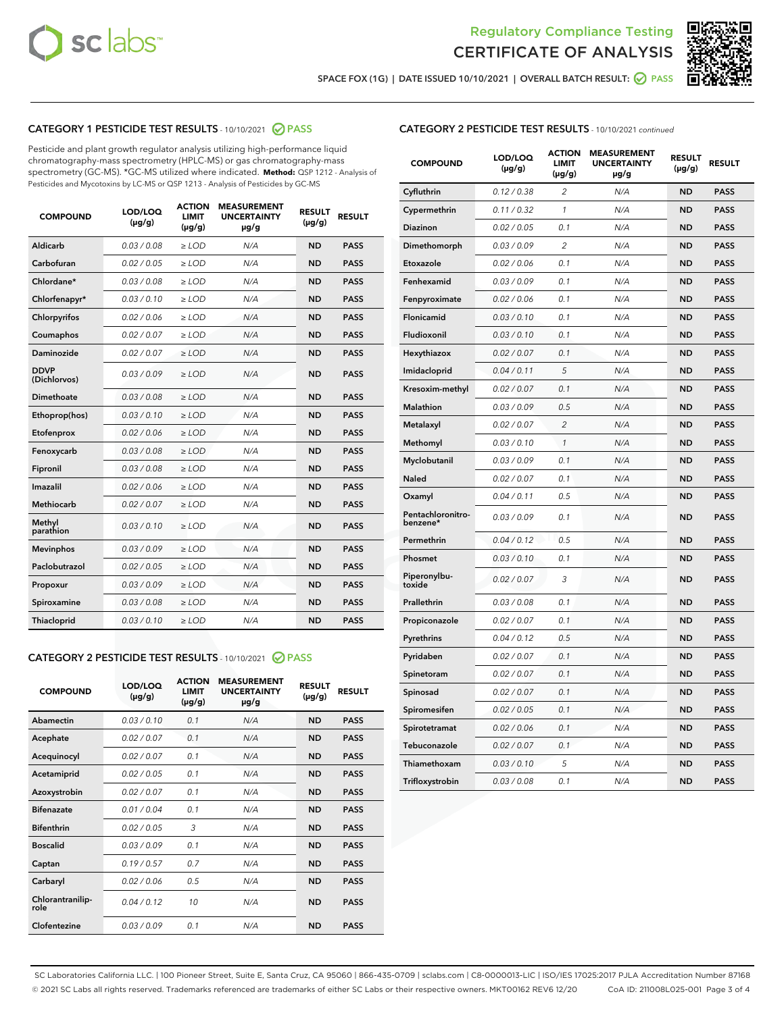



SPACE FOX (1G) | DATE ISSUED 10/10/2021 | OVERALL BATCH RESULT: O PASS

### CATEGORY 1 PESTICIDE TEST RESULTS - 10/10/2021 @ PASS

Pesticide and plant growth regulator analysis utilizing high-performance liquid chromatography-mass spectrometry (HPLC-MS) or gas chromatography-mass spectrometry (GC-MS). \*GC-MS utilized where indicated. **Method:** QSP 1212 - Analysis of Pesticides and Mycotoxins by LC-MS or QSP 1213 - Analysis of Pesticides by GC-MS

| <b>COMPOUND</b>             | LOD/LOQ<br>$(\mu g/g)$ | <b>ACTION</b><br><b>LIMIT</b><br>$(\mu g/g)$ | <b>MEASUREMENT</b><br><b>UNCERTAINTY</b><br>µg/g | <b>RESULT</b><br>$(\mu g/g)$ | <b>RESULT</b> |
|-----------------------------|------------------------|----------------------------------------------|--------------------------------------------------|------------------------------|---------------|
| Aldicarb                    | 0.03 / 0.08            | $\ge$ LOD                                    | N/A                                              | <b>ND</b>                    | <b>PASS</b>   |
| Carbofuran                  | 0.02/0.05              | $>$ LOD                                      | N/A                                              | <b>ND</b>                    | <b>PASS</b>   |
| Chlordane*                  | 0.03 / 0.08            | $\ge$ LOD                                    | N/A                                              | <b>ND</b>                    | <b>PASS</b>   |
| Chlorfenapyr*               | 0.03/0.10              | $\ge$ LOD                                    | N/A                                              | <b>ND</b>                    | <b>PASS</b>   |
| Chlorpyrifos                | 0.02 / 0.06            | $\ge$ LOD                                    | N/A                                              | <b>ND</b>                    | <b>PASS</b>   |
| Coumaphos                   | 0.02 / 0.07            | $>$ LOD                                      | N/A                                              | <b>ND</b>                    | <b>PASS</b>   |
| Daminozide                  | 0.02 / 0.07            | $\ge$ LOD                                    | N/A                                              | <b>ND</b>                    | <b>PASS</b>   |
| <b>DDVP</b><br>(Dichlorvos) | 0.03/0.09              | $\ge$ LOD                                    | N/A                                              | <b>ND</b>                    | <b>PASS</b>   |
| <b>Dimethoate</b>           | 0.03 / 0.08            | $\ge$ LOD                                    | N/A                                              | <b>ND</b>                    | <b>PASS</b>   |
| Ethoprop(hos)               | 0.03/0.10              | $>$ LOD                                      | N/A                                              | <b>ND</b>                    | <b>PASS</b>   |
| Etofenprox                  | 0.02 / 0.06            | $\ge$ LOD                                    | N/A                                              | <b>ND</b>                    | <b>PASS</b>   |
| Fenoxycarb                  | 0.03/0.08              | $>$ LOD                                      | N/A                                              | <b>ND</b>                    | <b>PASS</b>   |
| Fipronil                    | 0.03 / 0.08            | $\ge$ LOD                                    | N/A                                              | <b>ND</b>                    | <b>PASS</b>   |
| Imazalil                    | 0.02 / 0.06            | $\ge$ LOD                                    | N/A                                              | <b>ND</b>                    | <b>PASS</b>   |
| <b>Methiocarb</b>           | 0.02 / 0.07            | $\ge$ LOD                                    | N/A                                              | <b>ND</b>                    | <b>PASS</b>   |
| Methyl<br>parathion         | 0.03/0.10              | $>$ LOD                                      | N/A                                              | <b>ND</b>                    | <b>PASS</b>   |
| <b>Mevinphos</b>            | 0.03/0.09              | $>$ LOD                                      | N/A                                              | <b>ND</b>                    | <b>PASS</b>   |
| Paclobutrazol               | 0.02 / 0.05            | $\ge$ LOD                                    | N/A                                              | <b>ND</b>                    | <b>PASS</b>   |
| Propoxur                    | 0.03/0.09              | $\ge$ LOD                                    | N/A                                              | <b>ND</b>                    | <b>PASS</b>   |
| Spiroxamine                 | 0.03 / 0.08            | $\ge$ LOD                                    | N/A                                              | <b>ND</b>                    | <b>PASS</b>   |
| <b>Thiacloprid</b>          | 0.03/0.10              | $\ge$ LOD                                    | N/A                                              | <b>ND</b>                    | <b>PASS</b>   |
|                             |                        |                                              |                                                  |                              |               |

### CATEGORY 2 PESTICIDE TEST RESULTS - 10/10/2021 @ PASS

| <b>COMPOUND</b>          | LOD/LOQ<br>$(\mu g/g)$ | <b>ACTION</b><br>LIMIT<br>$(\mu g/g)$ | <b>MEASUREMENT</b><br><b>UNCERTAINTY</b><br>$\mu$ g/g | <b>RESULT</b><br>$(\mu g/g)$ | <b>RESULT</b> |  |
|--------------------------|------------------------|---------------------------------------|-------------------------------------------------------|------------------------------|---------------|--|
| Abamectin                | 0.03/0.10              | 0.1                                   | N/A                                                   | <b>ND</b>                    | <b>PASS</b>   |  |
| Acephate                 | 0.02/0.07              | 0.1                                   | N/A                                                   | <b>ND</b>                    | <b>PASS</b>   |  |
| Acequinocyl              | 0.02/0.07              | 0.1                                   | N/A                                                   | <b>ND</b>                    | <b>PASS</b>   |  |
| Acetamiprid              | 0.02 / 0.05            | 0.1                                   | N/A                                                   | <b>ND</b>                    | <b>PASS</b>   |  |
| Azoxystrobin             | 0.02/0.07              | 0.1                                   | N/A                                                   | <b>ND</b>                    | <b>PASS</b>   |  |
| <b>Bifenazate</b>        | 0.01/0.04              | 0.1                                   | N/A                                                   | <b>ND</b>                    | <b>PASS</b>   |  |
| <b>Bifenthrin</b>        | 0.02 / 0.05            | 3                                     | N/A                                                   | <b>ND</b>                    | <b>PASS</b>   |  |
| <b>Boscalid</b>          | 0.03/0.09              | 0.1                                   | N/A                                                   | <b>ND</b>                    | <b>PASS</b>   |  |
| Captan                   | 0.19/0.57              | 0.7                                   | N/A                                                   | <b>ND</b>                    | <b>PASS</b>   |  |
| Carbaryl                 | 0.02/0.06              | 0.5                                   | N/A                                                   | <b>ND</b>                    | <b>PASS</b>   |  |
| Chlorantranilip-<br>role | 0.04/0.12              | 10                                    | N/A                                                   | <b>ND</b>                    | <b>PASS</b>   |  |
| Clofentezine             | 0.03/0.09              | 0.1                                   | N/A                                                   | <b>ND</b>                    | <b>PASS</b>   |  |

### CATEGORY 2 PESTICIDE TEST RESULTS - 10/10/2021 continued

| <b>COMPOUND</b>               | LOD/LOQ<br>(µg/g) | <b>ACTION</b><br><b>LIMIT</b><br>$(\mu g/g)$ | <b>MEASUREMENT</b><br><b>UNCERTAINTY</b><br>µg/g | <b>RESULT</b><br>$(\mu g/g)$ | <b>RESULT</b> |
|-------------------------------|-------------------|----------------------------------------------|--------------------------------------------------|------------------------------|---------------|
| Cyfluthrin                    | 0.12 / 0.38       | $\overline{\mathcal{L}}$                     | N/A                                              | <b>ND</b>                    | <b>PASS</b>   |
| Cypermethrin                  | 0.11 / 0.32       | $\mathbf{1}$                                 | N/A                                              | <b>ND</b>                    | <b>PASS</b>   |
| Diazinon                      | 0.02 / 0.05       | 0.1                                          | N/A                                              | <b>ND</b>                    | <b>PASS</b>   |
| Dimethomorph                  | 0.03 / 0.09       | 2                                            | N/A                                              | <b>ND</b>                    | <b>PASS</b>   |
| Etoxazole                     | 0.02 / 0.06       | 0.1                                          | N/A                                              | <b>ND</b>                    | <b>PASS</b>   |
| Fenhexamid                    | 0.03 / 0.09       | 0.1                                          | N/A                                              | <b>ND</b>                    | <b>PASS</b>   |
| Fenpyroximate                 | 0.02 / 0.06       | 0.1                                          | N/A                                              | <b>ND</b>                    | <b>PASS</b>   |
| Flonicamid                    | 0.03 / 0.10       | 0.1                                          | N/A                                              | <b>ND</b>                    | <b>PASS</b>   |
| Fludioxonil                   | 0.03 / 0.10       | 0.1                                          | N/A                                              | <b>ND</b>                    | <b>PASS</b>   |
| Hexythiazox                   | 0.02 / 0.07       | 0.1                                          | N/A                                              | <b>ND</b>                    | <b>PASS</b>   |
| Imidacloprid                  | 0.04 / 0.11       | 5                                            | N/A                                              | <b>ND</b>                    | <b>PASS</b>   |
| Kresoxim-methyl               | 0.02 / 0.07       | 0.1                                          | N/A                                              | <b>ND</b>                    | <b>PASS</b>   |
| <b>Malathion</b>              | 0.03 / 0.09       | 0.5                                          | N/A                                              | <b>ND</b>                    | <b>PASS</b>   |
| Metalaxyl                     | 0.02 / 0.07       | $\overline{2}$                               | N/A                                              | <b>ND</b>                    | <b>PASS</b>   |
| Methomyl                      | 0.03 / 0.10       | $\mathbf{1}$                                 | N/A                                              | <b>ND</b>                    | <b>PASS</b>   |
| Myclobutanil                  | 0.03 / 0.09       | 0.1                                          | N/A                                              | <b>ND</b>                    | <b>PASS</b>   |
| <b>Naled</b>                  | 0.02 / 0.07       | 0.1                                          | N/A                                              | <b>ND</b>                    | <b>PASS</b>   |
| Oxamyl                        | 0.04 / 0.11       | 0.5                                          | N/A                                              | <b>ND</b>                    | <b>PASS</b>   |
| Pentachloronitro-<br>benzene* | 0.03 / 0.09       | 0.1                                          | N/A                                              | <b>ND</b>                    | <b>PASS</b>   |
| Permethrin                    | 0.04/0.12         | 0.5                                          | N/A                                              | <b>ND</b>                    | <b>PASS</b>   |
| Phosmet                       | 0.03 / 0.10       | 0.1                                          | N/A                                              | <b>ND</b>                    | <b>PASS</b>   |
| Piperonylbu-<br>toxide        | 0.02 / 0.07       | 3                                            | N/A                                              | <b>ND</b>                    | <b>PASS</b>   |
| Prallethrin                   | 0.03 / 0.08       | 0.1                                          | N/A                                              | <b>ND</b>                    | <b>PASS</b>   |
| Propiconazole                 | 0.02 / 0.07       | 0.1                                          | N/A                                              | <b>ND</b>                    | <b>PASS</b>   |
| Pyrethrins                    | 0.04 / 0.12       | 0.5                                          | N/A                                              | <b>ND</b>                    | <b>PASS</b>   |
| Pyridaben                     | 0.02 / 0.07       | 0.1                                          | N/A                                              | <b>ND</b>                    | <b>PASS</b>   |
| Spinetoram                    | 0.02 / 0.07       | 0.1                                          | N/A                                              | <b>ND</b>                    | <b>PASS</b>   |
| Spinosad                      | 0.02 / 0.07       | 0.1                                          | N/A                                              | <b>ND</b>                    | <b>PASS</b>   |
| Spiromesifen                  | 0.02 / 0.05       | 0.1                                          | N/A                                              | <b>ND</b>                    | <b>PASS</b>   |
| Spirotetramat                 | 0.02 / 0.06       | 0.1                                          | N/A                                              | <b>ND</b>                    | <b>PASS</b>   |
| Tebuconazole                  | 0.02 / 0.07       | 0.1                                          | N/A                                              | <b>ND</b>                    | <b>PASS</b>   |
| Thiamethoxam                  | 0.03 / 0.10       | 5                                            | N/A                                              | <b>ND</b>                    | <b>PASS</b>   |
| Trifloxystrobin               | 0.03 / 0.08       | 0.1                                          | N/A                                              | <b>ND</b>                    | <b>PASS</b>   |

SC Laboratories California LLC. | 100 Pioneer Street, Suite E, Santa Cruz, CA 95060 | 866-435-0709 | sclabs.com | C8-0000013-LIC | ISO/IES 17025:2017 PJLA Accreditation Number 87168 © 2021 SC Labs all rights reserved. Trademarks referenced are trademarks of either SC Labs or their respective owners. MKT00162 REV6 12/20 CoA ID: 211008L025-001 Page 3 of 4